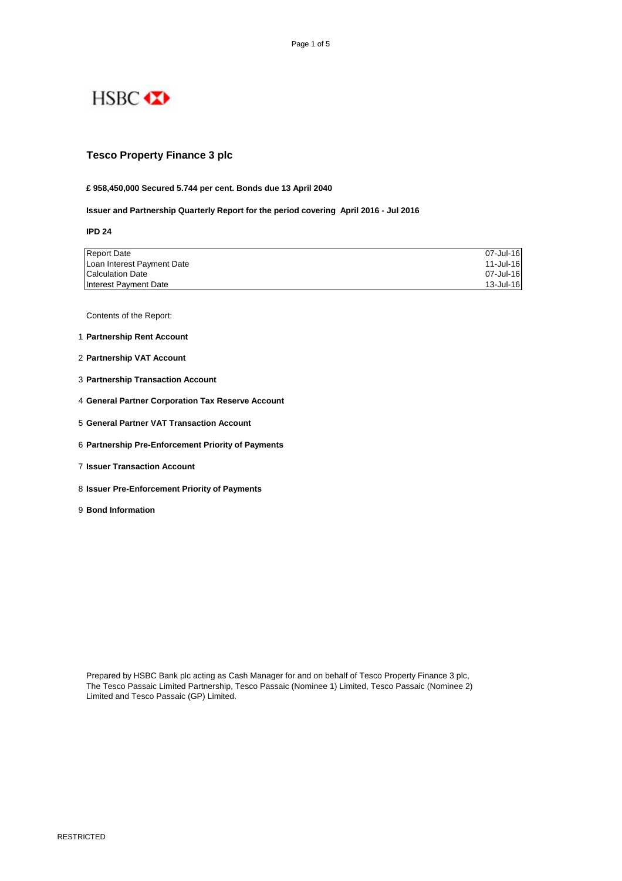

## **Tesco Property Finance 3 plc**

#### **£ 958,450,000 Secured 5.744 per cent. Bonds due 13 April 2040**

**Issuer and Partnership Quarterly Report for the period covering April 2016 - Jul 2016**

**IPD 24**

| <b>Report Date</b>         | 07-Jul-16 |
|----------------------------|-----------|
| Loan Interest Payment Date | 11-Jul-16 |
| Calculation Date           | 07-Jul-16 |
| Interest Payment Date      | 13-Jul-16 |

Contents of the Report:

- 1 **Partnership Rent Account**
- 2 **Partnership VAT Account**
- 3 **Partnership Transaction Account**
- 4 **General Partner Corporation Tax Reserve Account**
- 5 **General Partner VAT Transaction Account**
- 6 **Partnership Pre-Enforcement Priority of Payments**
- 7 **Issuer Transaction Account**
- 8 **Issuer Pre-Enforcement Priority of Payments**
- 9 **Bond Information**

Prepared by HSBC Bank plc acting as Cash Manager for and on behalf of Tesco Property Finance 3 plc, The Tesco Passaic Limited Partnership, Tesco Passaic (Nominee 1) Limited, Tesco Passaic (Nominee 2) Limited and Tesco Passaic (GP) Limited.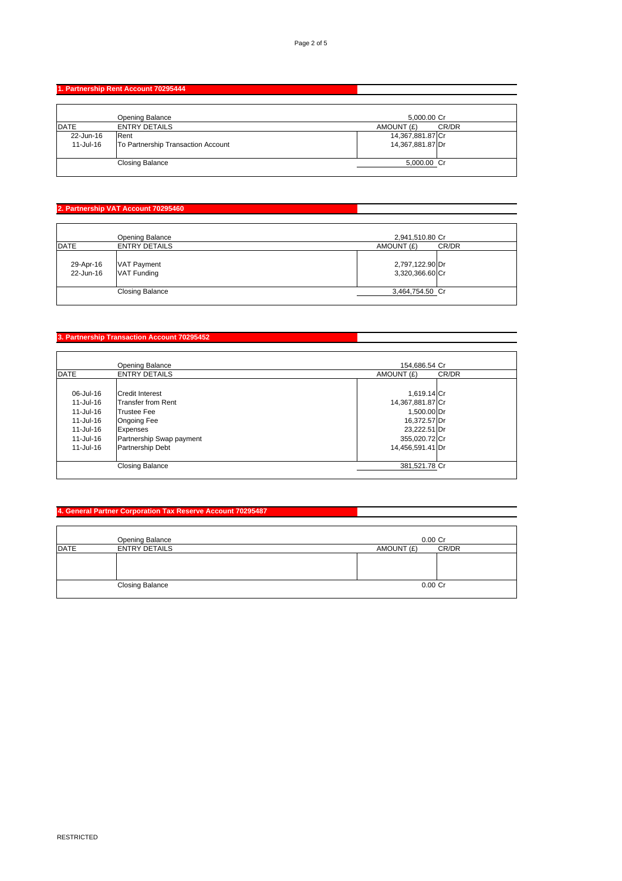## **1. Partnership Rent Account 70295444**

|              | Opening Balance                    | 5,000.00 Cr      |       |
|--------------|------------------------------------|------------------|-------|
| <b>IDATE</b> | <b>ENTRY DETAILS</b>               | AMOUNT (£)       | CR/DR |
| 22-Jun-16    | Rent                               | 14,367,881.87 Cr |       |
| 11-Jul-16    | To Partnership Transaction Account | 14,367,881.87 Dr |       |
|              |                                    |                  |       |
|              | <b>Closing Balance</b>             | 5,000.00 Cr      |       |
|              |                                    |                  |       |

# **2. Partnership VAT Account 70295460**

| <b>IDATE</b>           | Opening Balance<br><b>ENTRY DETAILS</b>  | 2,941,510.80 Cr                                  |       |
|------------------------|------------------------------------------|--------------------------------------------------|-------|
| 29-Apr-16<br>22-Jun-16 | <b>VAT Payment</b><br><b>VAT Funding</b> | AMOUNT (£)<br>2,797,122.90 Dr<br>3,320,366.60 Cr | CR/DR |
|                        | <b>Closing Balance</b>                   | 3,464,754.50 Cr                                  |       |

## **3. Partnership Transaction Account 70295452**

|             | <b>Opening Balance</b>    | 154.686.54 Cr       |  |
|-------------|---------------------------|---------------------|--|
| <b>DATE</b> | <b>ENTRY DETAILS</b>      | CR/DR<br>AMOUNT (£) |  |
|             |                           |                     |  |
| 06-Jul-16   | <b>Credit Interest</b>    | 1,619.14 Cr         |  |
| 11-Jul-16   | <b>Transfer from Rent</b> | 14,367,881.87 Cr    |  |
| 11-Jul-16   | <b>Trustee Fee</b>        | 1,500.00 Dr         |  |
| 11-Jul-16   | <b>Ongoing Fee</b>        | 16,372.57 Dr        |  |
| 11-Jul-16   | <b>Expenses</b>           | 23,222.51 Dr        |  |
| 11-Jul-16   | Partnership Swap payment  | 355,020.72 Cr       |  |
| 11-Jul-16   | <b>Partnership Debt</b>   | 14,456,591.41 Dr    |  |
|             | <b>Closing Balance</b>    | 381,521.78 Cr       |  |

# **4. General Partner Corporation Tax Reserve Account 70295487**

|             | Opening Balance        | $0.00$ Cr  |       |
|-------------|------------------------|------------|-------|
| <b>DATE</b> | <b>ENTRY DETAILS</b>   | AMOUNT (£) | CR/DR |
|             |                        |            |       |
|             |                        |            |       |
|             |                        |            |       |
|             | <b>Closing Balance</b> | $0.00$ Cr  |       |
|             |                        |            |       |

**Contract Contract Contract Contract**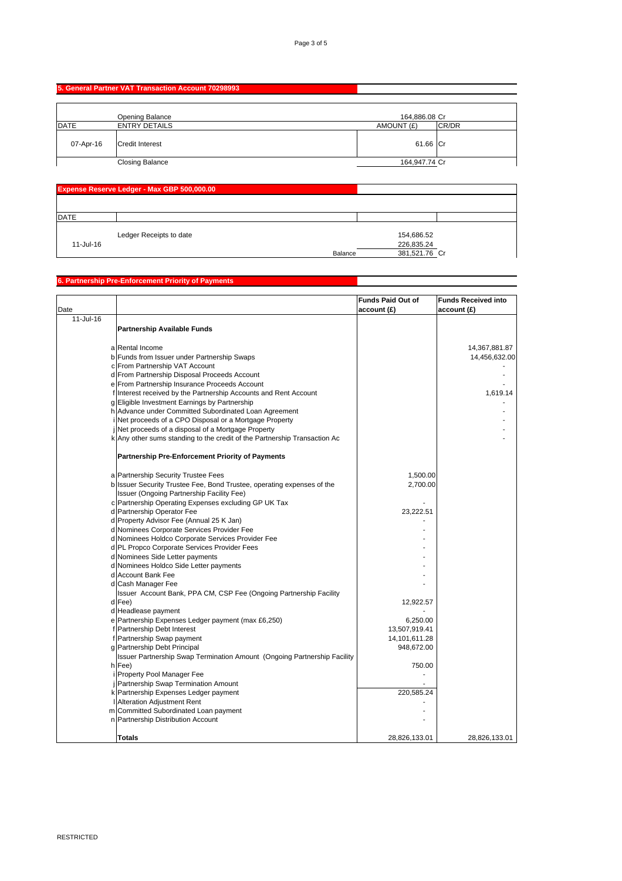# **5. General Partner VAT Transaction Account 70298993**

|              | Opening Balance        | 164,886.08 Cr |          |
|--------------|------------------------|---------------|----------|
| <b>IDATE</b> | <b>ENTRY DETAILS</b>   | AMOUNT (£)    | CR/DR    |
| 07-Apr-16    | <b>Credit Interest</b> |               | 61.66 Cr |
|              | <b>Closing Balance</b> | 164,947.74 Cr |          |

| <b>Expense Reserve Ledger - Max GBP 500,000.00</b> |                         |         |                          |  |
|----------------------------------------------------|-------------------------|---------|--------------------------|--|
|                                                    |                         |         |                          |  |
| <b>DATE</b>                                        |                         |         |                          |  |
| 11-Jul-16                                          | Ledger Receipts to date |         | 154,686.52<br>226,835.24 |  |
|                                                    |                         | Balance | 381,521.76 Cr            |  |

#### **6. Partnership Pre-Enforcement Priority of Payments**

| Date      |                                                                           | <b>Funds Paid Out of</b><br>account(E) | <b>Funds Received into</b><br>account (£) |
|-----------|---------------------------------------------------------------------------|----------------------------------------|-------------------------------------------|
| 11-Jul-16 |                                                                           |                                        |                                           |
|           | <b>Partnership Available Funds</b>                                        |                                        |                                           |
|           | a Rental Income                                                           |                                        | 14,367,881.87                             |
|           | b Funds from Issuer under Partnership Swaps                               |                                        | 14,456,632.00                             |
|           | c From Partnership VAT Account                                            |                                        |                                           |
|           | d From Partnership Disposal Proceeds Account                              |                                        |                                           |
|           | e From Partnership Insurance Proceeds Account                             |                                        |                                           |
|           | f Interest received by the Partnership Accounts and Rent Account          |                                        | 1,619.14                                  |
|           | g Eligible Investment Earnings by Partnership                             |                                        |                                           |
|           | h Advance under Committed Subordinated Loan Agreement                     |                                        |                                           |
|           | Net proceeds of a CPO Disposal or a Mortgage Property                     |                                        |                                           |
|           | Net proceeds of a disposal of a Mortgage Property                         |                                        |                                           |
|           | k Any other sums standing to the credit of the Partnership Transaction Ac |                                        |                                           |
|           | <b>Partnership Pre-Enforcement Priority of Payments</b>                   |                                        |                                           |
|           | a Partnership Security Trustee Fees                                       | 1,500.00                               |                                           |
|           | b Issuer Security Trustee Fee, Bond Trustee, operating expenses of the    | 2,700.00                               |                                           |
|           | Issuer (Ongoing Partnership Facility Fee)                                 |                                        |                                           |
|           | c Partnership Operating Expenses excluding GP UK Tax                      |                                        |                                           |
|           | d Partnership Operator Fee                                                | 23,222.51                              |                                           |
|           | d Property Advisor Fee (Annual 25 K Jan)                                  |                                        |                                           |
|           | d Nominees Corporate Services Provider Fee                                |                                        |                                           |
|           | d Nominees Holdco Corporate Services Provider Fee                         |                                        |                                           |
|           | d PL Propco Corporate Services Provider Fees                              |                                        |                                           |
|           | d Nominees Side Letter payments                                           |                                        |                                           |
|           | d Nominees Holdco Side Letter payments                                    |                                        |                                           |
|           | d Account Bank Fee                                                        |                                        |                                           |
|           | d Cash Manager Fee                                                        |                                        |                                           |
|           | Issuer Account Bank, PPA CM, CSP Fee (Ongoing Partnership Facility        |                                        |                                           |
|           | d Fee)                                                                    | 12,922.57                              |                                           |
|           | d Headlease payment                                                       |                                        |                                           |
|           | e Partnership Expenses Ledger payment (max £6,250)                        | 6,250.00                               |                                           |
|           | f Partnership Debt Interest                                               | 13,507,919.41                          |                                           |
|           | f Partnership Swap payment                                                | 14,101,611.28                          |                                           |
|           | g Partnership Debt Principal                                              | 948,672.00                             |                                           |
|           | Issuer Partnership Swap Termination Amount (Ongoing Partnership Facility  |                                        |                                           |
|           | h Fee)                                                                    | 750.00                                 |                                           |
|           | i Property Pool Manager Fee                                               |                                        |                                           |
|           | j Partnership Swap Termination Amount                                     |                                        |                                           |
|           | k Partnership Expenses Ledger payment                                     | 220,585.24                             |                                           |
|           | I Alteration Adjustment Rent                                              |                                        |                                           |
|           | m Committed Subordinated Loan payment                                     |                                        |                                           |
|           | n Partnership Distribution Account                                        |                                        |                                           |
|           | <b>Totals</b>                                                             | 28,826,133.01                          | 28,826,133.01                             |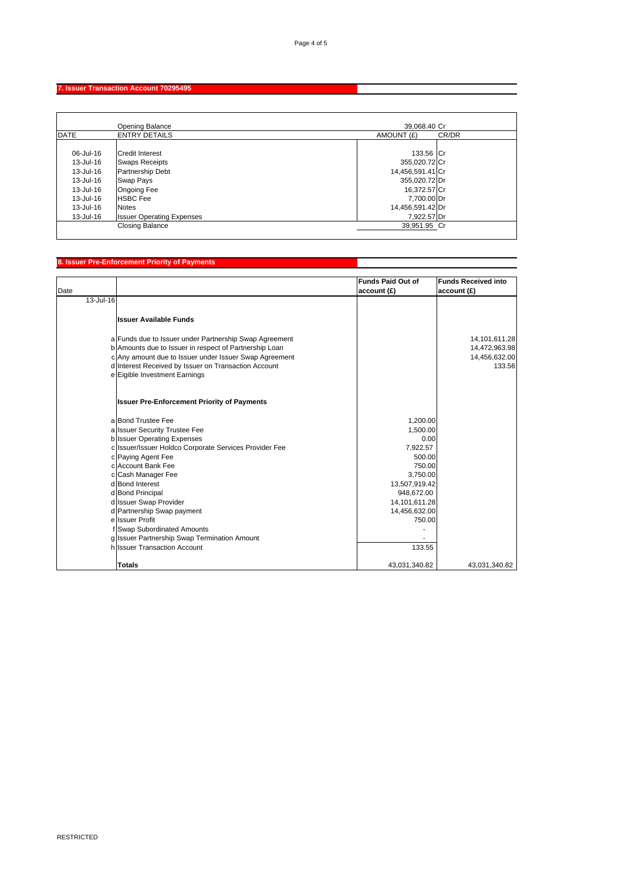# **7. Issuer Transaction Account 70295495**

|               | Opening Balance                  | 39.068.40 Cr     |       |
|---------------|----------------------------------|------------------|-------|
| <b>DATE</b>   | <b>ENTRY DETAILS</b>             | AMOUNT (£)       | CR/DR |
|               |                                  |                  |       |
| 06-Jul-16     | <b>Credit Interest</b>           | 133.56 Cr        |       |
| 13-Jul-16     | <b>Swaps Receipts</b>            | 355,020.72 Cr    |       |
| 13-Jul-16     | <b>Partnership Debt</b>          | 14,456,591.41 Cr |       |
| 13-Jul-16     | Swap Pays                        | 355,020.72 Dr    |       |
| 13-Jul-16     | <b>Ongoing Fee</b>               | 16,372.57 Cr     |       |
| $13 -$ Jul-16 | <b>HSBC Fee</b>                  | 7,700.00 Dr      |       |
| 13-Jul-16     | <b>Notes</b>                     | 14,456,591.42 Dr |       |
| 13-Jul-16     | <b>Issuer Operating Expenses</b> | 7,922.57 Dr      |       |
|               | <b>Closing Balance</b>           | 39,951.95 Cr     |       |

## **8. Issuer Pre-Enforcement Priority of Payments**

| Date      |                                                        | <b>Funds Paid Out of</b><br>account(E) | <b>Funds Received into</b><br>account (£) |
|-----------|--------------------------------------------------------|----------------------------------------|-------------------------------------------|
| 13-Jul-16 |                                                        |                                        |                                           |
|           | <b>Issuer Available Funds</b>                          |                                        |                                           |
|           | a Funds due to Issuer under Partnership Swap Agreement |                                        | 14,101,611.28                             |
|           | b Amounts due to Issuer in respect of Partnership Loan |                                        | 14,472,963.98                             |
|           | c Any amount due to Issuer under Issuer Swap Agreement |                                        | 14,456,632.00                             |
|           | d Interest Received by Issuer on Transaction Account   |                                        | 133.56                                    |
|           | e Eigible Investment Earnings                          |                                        |                                           |
|           | <b>Issuer Pre-Enforcement Priority of Payments</b>     |                                        |                                           |
|           | a Bond Trustee Fee                                     | 1,200.00                               |                                           |
|           | a Issuer Security Trustee Fee                          | 1.500.00                               |                                           |
|           | <b>b</b> Issuer Operating Expenses                     | 0.00                                   |                                           |
|           | c Issuer/Issuer Holdco Corporate Services Provider Fee | 7,922.57                               |                                           |
|           | c Paying Agent Fee                                     | 500.00                                 |                                           |
|           | c Account Bank Fee                                     | 750.00                                 |                                           |
|           | c Cash Manager Fee                                     | 3,750.00                               |                                           |
|           | d Bond Interest                                        | 13,507,919.42                          |                                           |
|           | d Bond Principal                                       | 948,672.00                             |                                           |
|           | d Issuer Swap Provider                                 | 14,101,611.28                          |                                           |
|           | d Partnership Swap payment                             | 14,456,632.00                          |                                           |
|           | ellssuer Profit                                        | 750.00                                 |                                           |
|           | f Swap Subordinated Amounts                            |                                        |                                           |
|           | g Issuer Partnership Swap Termination Amount           |                                        |                                           |
|           | hilssuer Transaction Account                           | 133.55                                 |                                           |
|           | Totals                                                 | 43,031,340.82                          | 43,031,340.82                             |